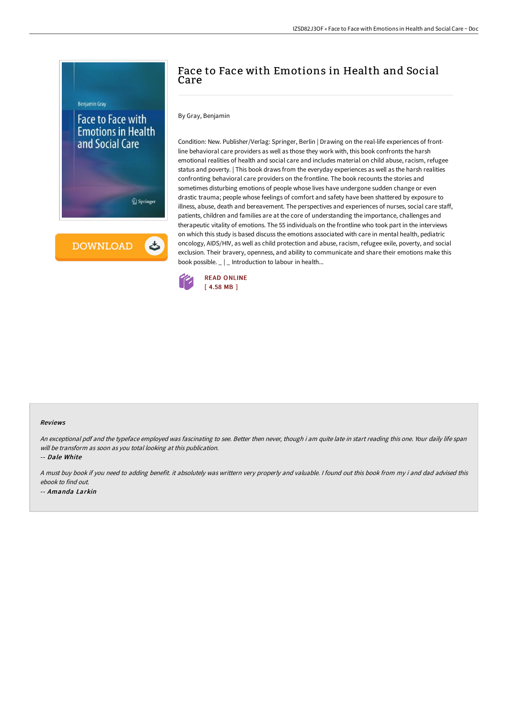

**DOWNLOAD** 

ٹ

## Face to Face with Emotions in Health and Social Care

## By Gray, Benjamin

Condition: New. Publisher/Verlag: Springer, Berlin | Drawing on the real-life experiences of frontline behavioral care providers as well as those they work with, this book confronts the harsh emotional realities of health and social care and includes material on child abuse, racism, refugee status and poverty. | This book draws from the everyday experiences as well as the harsh realities confronting behavioral care providers on the frontline. The book recounts the stories and sometimes disturbing emotions of people whose lives have undergone sudden change or even drastic trauma; people whose feelings of comfort and safety have been shattered by exposure to illness, abuse, death and bereavement. The perspectives and experiences of nurses, social care staff, patients, children and families are at the core of understanding the importance, challenges and therapeutic vitality of emotions. The 55 individuals on the frontline who took part in the interviews on which this study is based discuss the emotions associated with care in mental health, pediatric oncology, AIDS/HIV, as well as child protection and abuse, racism, refugee exile, poverty, and social exclusion. Their bravery, openness, and ability to communicate and share their emotions make this book possible.  $\Box$  | \_ Introduction to labour in health...



## Reviews

An exceptional pdf and the typeface employed was fascinating to see. Better then never, though i am quite late in start reading this one. Your daily life span will be transform as soon as you total looking at this publication.

-- Dale White

<sup>A</sup> must buy book if you need to adding benefit. it absolutely was writtern very properly and valuable. <sup>I</sup> found out this book from my i and dad advised this ebook to find out. -- Amanda Larkin